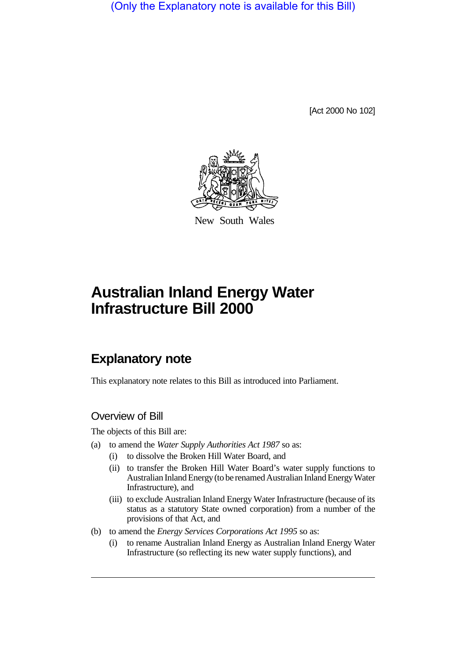(Only the Explanatory note is available for this Bill)

[Act 2000 No 102]



New South Wales

# **Australian Inland Energy Water Infrastructure Bill 2000**

# **Explanatory note**

This explanatory note relates to this Bill as introduced into Parliament.

#### Overview of Bill

The objects of this Bill are:

- (a) to amend the *Water Supply Authorities Act 1987* so as:
	- (i) to dissolve the Broken Hill Water Board, and
	- (ii) to transfer the Broken Hill Water Board's water supply functions to Australian Inland Energy (to be renamed Australian Inland Energy Water Infrastructure), and
	- (iii) to exclude Australian Inland Energy Water Infrastructure (because of its status as a statutory State owned corporation) from a number of the provisions of that Act, and
- (b) to amend the *Energy Services Corporations Act 1995* so as:
	- (i) to rename Australian Inland Energy as Australian Inland Energy Water Infrastructure (so reflecting its new water supply functions), and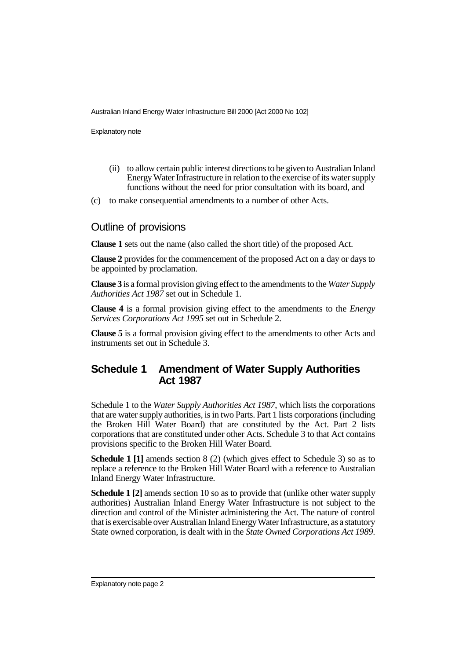Explanatory note

- (ii) to allow certain public interest directions to be given to Australian Inland Energy Water Infrastructure in relation to the exercise of its water supply functions without the need for prior consultation with its board, and
- (c) to make consequential amendments to a number of other Acts.

#### Outline of provisions

**Clause 1** sets out the name (also called the short title) of the proposed Act.

**Clause 2** provides for the commencement of the proposed Act on a day or days to be appointed by proclamation.

**Clause 3** is a formal provision giving effect to the amendments to the *Water Supply Authorities Act 1987* set out in Schedule 1.

**Clause 4** is a formal provision giving effect to the amendments to the *Energy Services Corporations Act 1995* set out in Schedule 2.

**Clause 5** is a formal provision giving effect to the amendments to other Acts and instruments set out in Schedule 3.

## **Schedule 1 Amendment of Water Supply Authorities Act 1987**

Schedule 1 to the *Water Supply Authorities Act 1987*, which lists the corporations that are water supply authorities, is in two Parts. Part 1 lists corporations (including the Broken Hill Water Board) that are constituted by the Act. Part 2 lists corporations that are constituted under other Acts. Schedule 3 to that Act contains provisions specific to the Broken Hill Water Board.

**Schedule 1 [1]** amends section 8 (2) (which gives effect to Schedule 3) so as to replace a reference to the Broken Hill Water Board with a reference to Australian Inland Energy Water Infrastructure.

**Schedule 1 [2]** amends section 10 so as to provide that (unlike other water supply authorities) Australian Inland Energy Water Infrastructure is not subject to the direction and control of the Minister administering the Act. The nature of control that is exercisable over Australian Inland Energy Water Infrastructure, as a statutory State owned corporation, is dealt with in the *State Owned Corporations Act 1989*.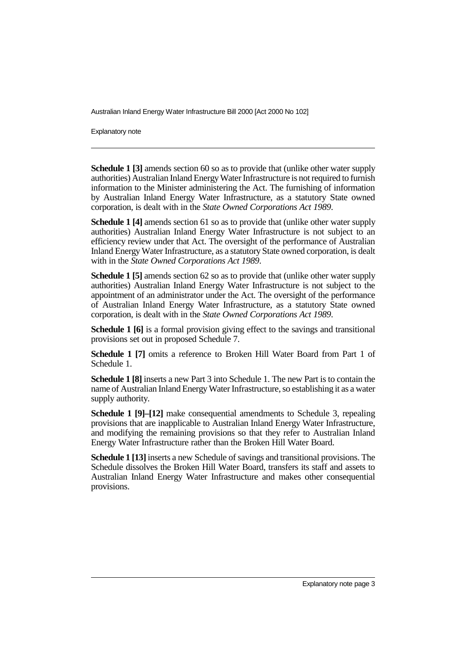Explanatory note

**Schedule 1 [3]** amends section 60 so as to provide that (unlike other water supply authorities) Australian Inland Energy Water Infrastructure is not required to furnish information to the Minister administering the Act. The furnishing of information by Australian Inland Energy Water Infrastructure, as a statutory State owned corporation, is dealt with in the *State Owned Corporations Act 1989*.

**Schedule 1 [4]** amends section 61 so as to provide that (unlike other water supply authorities) Australian Inland Energy Water Infrastructure is not subject to an efficiency review under that Act. The oversight of the performance of Australian Inland Energy Water Infrastructure, as a statutory State owned corporation, is dealt with in the *State Owned Corporations Act 1989*.

**Schedule 1 [5]** amends section 62 so as to provide that (unlike other water supply authorities) Australian Inland Energy Water Infrastructure is not subject to the appointment of an administrator under the Act. The oversight of the performance of Australian Inland Energy Water Infrastructure, as a statutory State owned corporation, is dealt with in the *State Owned Corporations Act 1989*.

**Schedule 1 [6]** is a formal provision giving effect to the savings and transitional provisions set out in proposed Schedule 7.

**Schedule 1 [7]** omits a reference to Broken Hill Water Board from Part 1 of Schedule 1.

**Schedule 1 [8]** inserts a new Part 3 into Schedule 1. The new Part is to contain the name of Australian Inland Energy Water Infrastructure, so establishing it as a water supply authority.

**Schedule 1 [9]–[12]** make consequential amendments to Schedule 3, repealing provisions that are inapplicable to Australian Inland Energy Water Infrastructure, and modifying the remaining provisions so that they refer to Australian Inland Energy Water Infrastructure rather than the Broken Hill Water Board.

**Schedule 1 [13]** inserts a new Schedule of savings and transitional provisions. The Schedule dissolves the Broken Hill Water Board, transfers its staff and assets to Australian Inland Energy Water Infrastructure and makes other consequential provisions.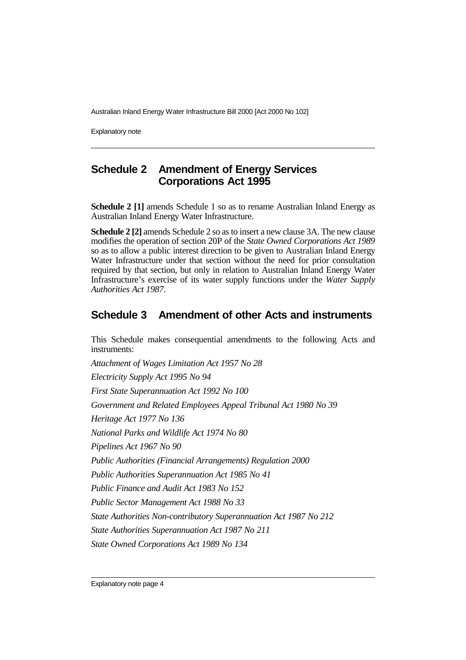Explanatory note

## **Schedule 2 Amendment of Energy Services Corporations Act 1995**

**Schedule 2 [1]** amends Schedule 1 so as to rename Australian Inland Energy as Australian Inland Energy Water Infrastructure.

**Schedule 2 [2]** amends Schedule 2 so as to insert a new clause 3A. The new clause modifies the operation of section 20P of the *State Owned Corporations Act 1989* so as to allow a public interest direction to be given to Australian Inland Energy Water Infrastructure under that section without the need for prior consultation required by that section, but only in relation to Australian Inland Energy Water Infrastructure's exercise of its water supply functions under the *Water Supply Authorities Act 1987*.

#### **Schedule 3 Amendment of other Acts and instruments**

This Schedule makes consequential amendments to the following Acts and instruments:

*Attachment of Wages Limitation Act 1957 No 28 Electricity Supply Act 1995 No 94 First State Superannuation Act 1992 No 100 Government and Related Employees Appeal Tribunal Act 1980 No 39 Heritage Act 1977 No 136 National Parks and Wildlife Act 1974 No 80 Pipelines Act 1967 No 90 Public Authorities (Financial Arrangements) Regulation 2000 Public Authorities Superannuation Act 1985 No 41 Public Finance and Audit Act 1983 No 152 Public Sector Management Act 1988 No 33 State Authorities Non-contributory Superannuation Act 1987 No 212 State Authorities Superannuation Act 1987 No 211 State Owned Corporations Act 1989 No 134*